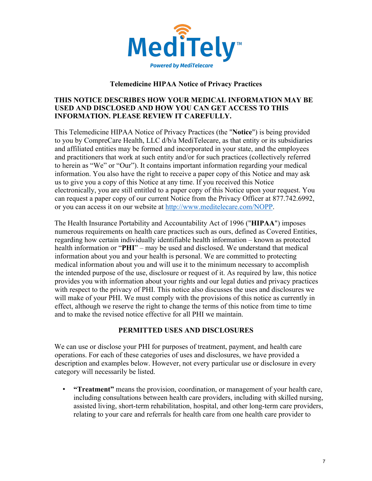

### **Telemedicine HIPAA Notice of Privacy Practices**

### **THIS NOTICE DESCRIBES HOW YOUR MEDICAL INFORMATION MAY BE USED AND DISCLOSED AND HOW YOU CAN GET ACCESS TO THIS INFORMATION. PLEASE REVIEW IT CAREFULLY.**

This Telemedicine HIPAA Notice of Privacy Practices (the "**Notice**") is being provided to you by CompreCare Health, LLC d/b/a MediTelecare, as that entity or its subsidiaries and affiliated entities may be formed and incorporated in your state, and the employees and practitioners that work at such entity and/or for such practices (collectively referred to herein as "We" or "Our"). It contains important information regarding your medical information. You also have the right to receive a paper copy of this Notice and may ask us to give you a copy of this Notice at any time. If you received this Notice electronically, you are still entitled to a paper copy of this Notice upon your request. You can request a paper copy of our current Notice from the Privacy Officer at 877.742.6992, or you can access it on our website at http://www.meditelecare.com/NOPP.

The Health Insurance Portability and Accountability Act of 1996 ("**HIPAA**") imposes numerous requirements on health care practices such as ours, defined as Covered Entities, regarding how certain individually identifiable health information – known as protected health information or "**PHI**" – may be used and disclosed. We understand that medical information about you and your health is personal. We are committed to protecting medical information about you and will use it to the minimum necessary to accomplish the intended purpose of the use, disclosure or request of it. As required by law, this notice provides you with information about your rights and our legal duties and privacy practices with respect to the privacy of PHI. This notice also discusses the uses and disclosures we will make of your PHI. We must comply with the provisions of this notice as currently in effect, although we reserve the right to change the terms of this notice from time to time and to make the revised notice effective for all PHI we maintain.

## **PERMITTED USES AND DISCLOSURES**

We can use or disclose your PHI for purposes of treatment, payment, and health care operations. For each of these categories of uses and disclosures, we have provided a description and examples below. However, not every particular use or disclosure in every category will necessarily be listed.

• **"Treatment"** means the provision, coordination, or management of your health care, including consultations between health care providers, including with skilled nursing, assisted living, short-term rehabilitation, hospital, and other long-term care providers, relating to your care and referrals for health care from one health care provider to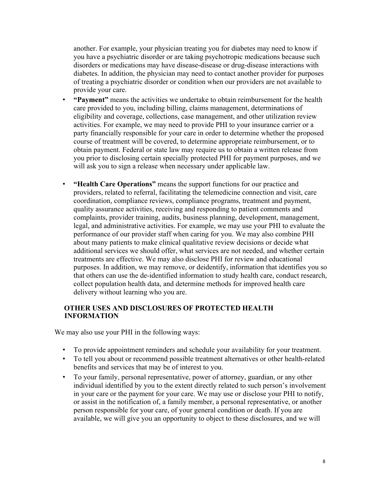another. For example, your physician treating you for diabetes may need to know if you have a psychiatric disorder or are taking psychotropic medications because such disorders or medications may have disease-disease or drug-disease interactions with diabetes. In addition, the physician may need to contact another provider for purposes of treating a psychiatric disorder or condition when our providers are not available to provide your care.

- **"Payment"** means the activities we undertake to obtain reimbursement for the health care provided to you, including billing, claims management, determinations of eligibility and coverage, collections, case management, and other utilization review activities. For example, we may need to provide PHI to your insurance carrier or a party financially responsible for your care in order to determine whether the proposed course of treatment will be covered, to determine appropriate reimbursement, or to obtain payment. Federal or state law may require us to obtain a written release from you prior to disclosing certain specially protected PHI for payment purposes, and we will ask you to sign a release when necessary under applicable law.
- **"Health Care Operations"** means the support functions for our practice and providers, related to referral, facilitating the telemedicine connection and visit, care coordination, compliance reviews, compliance programs, treatment and payment, quality assurance activities, receiving and responding to patient comments and complaints, provider training, audits, business planning, development, management, legal, and administrative activities. For example, we may use your PHI to evaluate the performance of our provider staff when caring for you. We may also combine PHI about many patients to make clinical qualitative review decisions or decide what additional services we should offer, what services are not needed, and whether certain treatments are effective. We may also disclose PHI for review and educational purposes. In addition, we may remove, or deidentify, information that identifies you so that others can use the de-identified information to study health care, conduct research, collect population health data, and determine methods for improved health care delivery without learning who you are.

### **OTHER USES AND DISCLOSURES OF PROTECTED HEALTH INFORMATION**

We may also use your PHI in the following ways:

- To provide appointment reminders and schedule your availability for your treatment.
- To tell you about or recommend possible treatment alternatives or other health-related benefits and services that may be of interest to you.
- To your family, personal representative, power of attorney, guardian, or any other individual identified by you to the extent directly related to such person's involvement in your care or the payment for your care. We may use or disclose your PHI to notify, or assist in the notification of, a family member, a personal representative, or another person responsible for your care, of your general condition or death. If you are available, we will give you an opportunity to object to these disclosures, and we will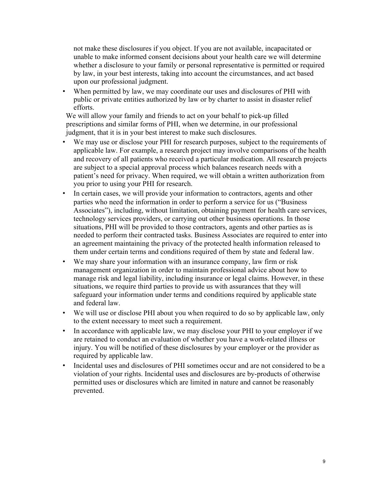not make these disclosures if you object. If you are not available, incapacitated or unable to make informed consent decisions about your health care we will determine whether a disclosure to your family or personal representative is permitted or required by law, in your best interests, taking into account the circumstances, and act based upon our professional judgment.

• When permitted by law, we may coordinate our uses and disclosures of PHI with public or private entities authorized by law or by charter to assist in disaster relief efforts.

We will allow your family and friends to act on your behalf to pick-up filled prescriptions and similar forms of PHI, when we determine, in our professional judgment, that it is in your best interest to make such disclosures.

- We may use or disclose your PHI for research purposes, subject to the requirements of applicable law. For example, a research project may involve comparisons of the health and recovery of all patients who received a particular medication. All research projects are subject to a special approval process which balances research needs with a patient's need for privacy. When required, we will obtain a written authorization from you prior to using your PHI for research.
- In certain cases, we will provide your information to contractors, agents and other parties who need the information in order to perform a service for us ("Business Associates"), including, without limitation, obtaining payment for health care services, technology services providers, or carrying out other business operations. In those situations, PHI will be provided to those contractors, agents and other parties as is needed to perform their contracted tasks. Business Associates are required to enter into an agreement maintaining the privacy of the protected health information released to them under certain terms and conditions required of them by state and federal law.
- We may share your information with an insurance company, law firm or risk management organization in order to maintain professional advice about how to manage risk and legal liability, including insurance or legal claims. However, in these situations, we require third parties to provide us with assurances that they will safeguard your information under terms and conditions required by applicable state and federal law.
- We will use or disclose PHI about you when required to do so by applicable law, only to the extent necessary to meet such a requirement.
- In accordance with applicable law, we may disclose your PHI to your employer if we are retained to conduct an evaluation of whether you have a work-related illness or injury. You will be notified of these disclosures by your employer or the provider as required by applicable law.
- Incidental uses and disclosures of PHI sometimes occur and are not considered to be a violation of your rights. Incidental uses and disclosures are by-products of otherwise permitted uses or disclosures which are limited in nature and cannot be reasonably prevented.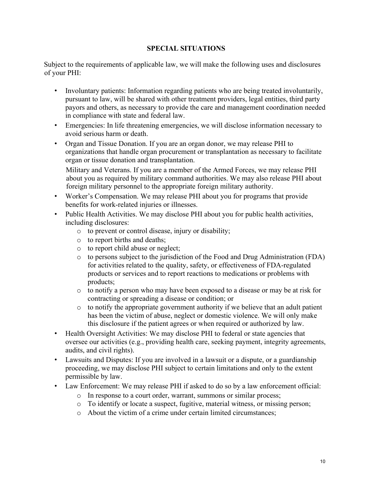## **SPECIAL SITUATIONS**

Subject to the requirements of applicable law, we will make the following uses and disclosures of your PHI:

- Involuntary patients: Information regarding patients who are being treated involuntarily, pursuant to law, will be shared with other treatment providers, legal entities, third party payors and others, as necessary to provide the care and management coordination needed in compliance with state and federal law.
- Emergencies: In life threatening emergencies, we will disclose information necessary to avoid serious harm or death.
- Organ and Tissue Donation. If you are an organ donor, we may release PHI to organizations that handle organ procurement or transplantation as necessary to facilitate organ or tissue donation and transplantation.

Military and Veterans. If you are a member of the Armed Forces, we may release PHI about you as required by military command authorities. We may also release PHI about foreign military personnel to the appropriate foreign military authority.

- Worker's Compensation. We may release PHI about you for programs that provide benefits for work-related injuries or illnesses.
- Public Health Activities. We may disclose PHI about you for public health activities, including disclosures:
	- o to prevent or control disease, injury or disability;
	- o to report births and deaths;
	- o to report child abuse or neglect;
	- o to persons subject to the jurisdiction of the Food and Drug Administration (FDA) for activities related to the quality, safety, or effectiveness of FDA-regulated products or services and to report reactions to medications or problems with products;
	- $\circ$  to notify a person who may have been exposed to a disease or may be at risk for contracting or spreading a disease or condition; or
	- o to notify the appropriate government authority if we believe that an adult patient has been the victim of abuse, neglect or domestic violence. We will only make this disclosure if the patient agrees or when required or authorized by law.
- Health Oversight Activities: We may disclose PHI to federal or state agencies that oversee our activities (e.g., providing health care, seeking payment, integrity agreements, audits, and civil rights).
- Lawsuits and Disputes: If you are involved in a lawsuit or a dispute, or a guardianship proceeding, we may disclose PHI subject to certain limitations and only to the extent permissible by law.
- Law Enforcement: We may release PHI if asked to do so by a law enforcement official:
	- o In response to a court order, warrant, summons or similar process;
	- o To identify or locate a suspect, fugitive, material witness, or missing person;
	- o About the victim of a crime under certain limited circumstances;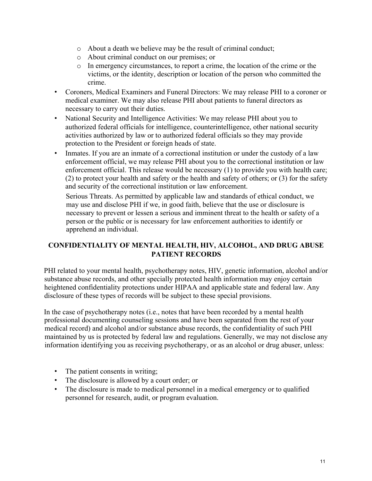- o About a death we believe may be the result of criminal conduct;
- o About criminal conduct on our premises; or
- o In emergency circumstances, to report a crime, the location of the crime or the victims, or the identity, description or location of the person who committed the crime.
- Coroners, Medical Examiners and Funeral Directors: We may release PHI to a coroner or medical examiner. We may also release PHI about patients to funeral directors as necessary to carry out their duties.
- National Security and Intelligence Activities: We may release PHI about you to authorized federal officials for intelligence, counterintelligence, other national security activities authorized by law or to authorized federal officials so they may provide protection to the President or foreign heads of state.
- Inmates. If you are an inmate of a correctional institution or under the custody of a law enforcement official, we may release PHI about you to the correctional institution or law enforcement official. This release would be necessary (1) to provide you with health care; (2) to protect your health and safety or the health and safety of others; or (3) for the safety and security of the correctional institution or law enforcement.

Serious Threats. As permitted by applicable law and standards of ethical conduct, we may use and disclose PHI if we, in good faith, believe that the use or disclosure is necessary to prevent or lessen a serious and imminent threat to the health or safety of a person or the public or is necessary for law enforcement authorities to identify or apprehend an individual.

# **CONFIDENTIALITY OF MENTAL HEALTH, HIV, ALCOHOL, AND DRUG ABUSE PATIENT RECORDS**

PHI related to your mental health, psychotherapy notes, HIV, genetic information, alcohol and/or substance abuse records, and other specially protected health information may enjoy certain heightened confidentiality protections under HIPAA and applicable state and federal law. Any disclosure of these types of records will be subject to these special provisions.

In the case of psychotherapy notes (i.e., notes that have been recorded by a mental health professional documenting counseling sessions and have been separated from the rest of your medical record) and alcohol and/or substance abuse records, the confidentiality of such PHI maintained by us is protected by federal law and regulations. Generally, we may not disclose any information identifying you as receiving psychotherapy, or as an alcohol or drug abuser, unless:

- The patient consents in writing;
- The disclosure is allowed by a court order; or
- The disclosure is made to medical personnel in a medical emergency or to qualified personnel for research, audit, or program evaluation.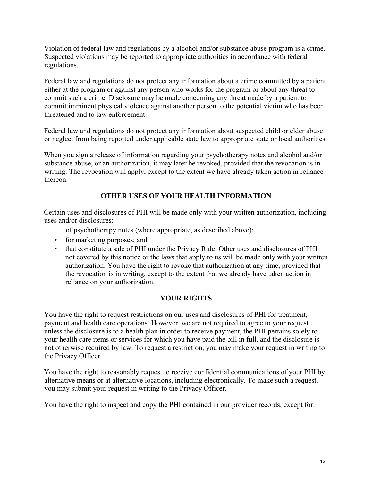Violation of federal law and regulations by a alcohol and/or substance abuse program is a crime. Suspected violations may be reported to appropriate authorities in accordance with federal regulations.

Federal law and regulations do not protect any information about a crime committed by a patient either at the program or against any person who works for the program or about any threat to commit such a crime. Disclosure may be made concerning any threat made by a patient to commit imminent physical violence against another person to the potential victim who has been threatened and to law enforcement.

Federal law and regulations do not protect any information about suspected child or elder abuse or neglect from being reported under applicable state law to appropriate state or local authorities.

When you sign a release of information regarding your psychotherapy notes and alcohol and/or substance abuse, or an authorization, it may later be revoked, provided that the revocation is in writing. The revocation will apply, except to the extent we have already taken action in reliance thereon.

## **OTHER USES OF YOUR HEALTH INFORMATION**

Certain uses and disclosures of PHI will be made only with your written authorization, including uses and/or disclosures:

of psychotherapy notes (where appropriate, as described above);

- for marketing purposes; and
- that constitute a sale of PHI under the Privacy Rule. Other uses and disclosures of PHI not covered by this notice or the laws that apply to us will be made only with your written authorization. You have the right to revoke that authorization at any time, provided that the revocation is in writing, except to the extent that we already have taken action in reliance on your authorization.

## **YOUR RIGHTS**

You have the right to request restrictions on our uses and disclosures of PHI for treatment, payment and health care operations. However, we are not required to agree to your request unless the disclosure is to a health plan in order to receive payment, the PHI pertains solely to your health care items or services for which you have paid the bill in full, and the disclosure is not otherwise required by law. To request a restriction, you may make your request in writing to the Privacy Officer.

You have the right to reasonably request to receive confidential communications of your PHI by alternative means or at alternative locations, including electronically. To make such a request, you may submit your request in writing to the Privacy Officer.

You have the right to inspect and copy the PHI contained in our provider records, except for: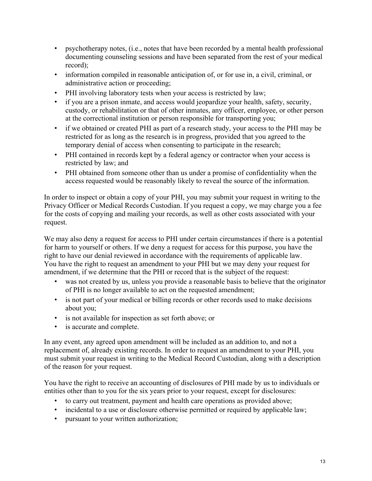- psychotherapy notes, (i.e., notes that have been recorded by a mental health professional documenting counseling sessions and have been separated from the rest of your medical record);
- information compiled in reasonable anticipation of, or for use in, a civil, criminal, or administrative action or proceeding;
- PHI involving laboratory tests when your access is restricted by law;
- if you are a prison inmate, and access would jeopardize your health, safety, security, custody, or rehabilitation or that of other inmates, any officer, employee, or other person at the correctional institution or person responsible for transporting you;
- if we obtained or created PHI as part of a research study, your access to the PHI may be restricted for as long as the research is in progress, provided that you agreed to the temporary denial of access when consenting to participate in the research;
- PHI contained in records kept by a federal agency or contractor when your access is restricted by law; and
- PHI obtained from someone other than us under a promise of confidentiality when the access requested would be reasonably likely to reveal the source of the information.

In order to inspect or obtain a copy of your PHI, you may submit your request in writing to the Privacy Officer or Medical Records Custodian. If you request a copy, we may charge you a fee for the costs of copying and mailing your records, as well as other costs associated with your request.

We may also deny a request for access to PHI under certain circumstances if there is a potential for harm to yourself or others. If we deny a request for access for this purpose, you have the right to have our denial reviewed in accordance with the requirements of applicable law. You have the right to request an amendment to your PHI but we may deny your request for amendment, if we determine that the PHI or record that is the subject of the request:

- was not created by us, unless you provide a reasonable basis to believe that the originator of PHI is no longer available to act on the requested amendment;
- is not part of your medical or billing records or other records used to make decisions about you;
- is not available for inspection as set forth above; or
- is accurate and complete.

In any event, any agreed upon amendment will be included as an addition to, and not a replacement of, already existing records. In order to request an amendment to your PHI, you must submit your request in writing to the Medical Record Custodian, along with a description of the reason for your request.

You have the right to receive an accounting of disclosures of PHI made by us to individuals or entities other than to you for the six years prior to your request, except for disclosures:

- to carry out treatment, payment and health care operations as provided above;
- incidental to a use or disclosure otherwise permitted or required by applicable law;
- pursuant to your written authorization;